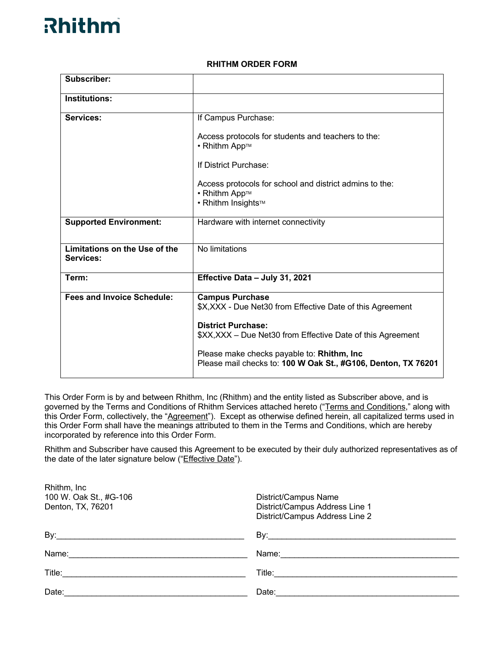### **RHITHM ORDER FORM**

| <b>Subscriber:</b>                         |                                                                                                             |
|--------------------------------------------|-------------------------------------------------------------------------------------------------------------|
| Institutions:                              |                                                                                                             |
| Services:                                  | If Campus Purchase:                                                                                         |
|                                            | Access protocols for students and teachers to the:<br>• Rhithm App™                                         |
|                                            | If District Purchase:                                                                                       |
|                                            | Access protocols for school and district admins to the:<br>• Rhithm App™<br>• Rhithm Insights™              |
| <b>Supported Environment:</b>              | Hardware with internet connectivity                                                                         |
| Limitations on the Use of the<br>Services: | No limitations                                                                                              |
| Term:                                      | Effective Data - July 31, 2021                                                                              |
| <b>Fees and Invoice Schedule:</b>          | <b>Campus Purchase</b><br>\$X,XXX - Due Net30 from Effective Date of this Agreement                         |
|                                            | <b>District Purchase:</b><br>\$XX, XXX - Due Net30 from Effective Date of this Agreement                    |
|                                            | Please make checks payable to: Rhithm, Inc<br>Please mail checks to: 100 W Oak St., #G106, Denton, TX 76201 |

This Order Form is by and between Rhithm, Inc (Rhithm) and the entity listed as Subscriber above, and is governed by the Terms and Conditions of Rhithm Services attached hereto ("Terms and Conditions," along with this Order Form, collectively, the "Agreement"). Except as otherwise defined herein, all capitalized terms used in this Order Form shall have the meanings attributed to them in the Terms and Conditions, which are hereby incorporated by reference into this Order Form.

Rhithm and Subscriber have caused this Agreement to be executed by their duly authorized representatives as of the date of the later signature below ("Effective Date").

| Rhithm, Inc.<br>100 W. Oak St., #G-106<br>Denton, TX, 76201                                                                                                                                                                    | District/Campus Name<br>District/Campus Address Line 1<br>District/Campus Address Line 2                                                                                                                                       |
|--------------------------------------------------------------------------------------------------------------------------------------------------------------------------------------------------------------------------------|--------------------------------------------------------------------------------------------------------------------------------------------------------------------------------------------------------------------------------|
| By: the contract of the contract of the contract of the contract of the contract of the contract of the contract of the contract of the contract of the contract of the contract of the contract of the contract of the contra | By: the contract of the contract of the contract of the contract of the contract of the contract of the contract of the contract of the contract of the contract of the contract of the contract of the contract of the contra |
| Name:                                                                                                                                                                                                                          | Name: <u>____________________________</u>                                                                                                                                                                                      |
| Title:                                                                                                                                                                                                                         |                                                                                                                                                                                                                                |
| Date:                                                                                                                                                                                                                          | Date: the contract of the contract of the contract of the contract of the contract of the contract of the contract of the contract of the contract of the contract of the contract of the contract of the contract of the cont |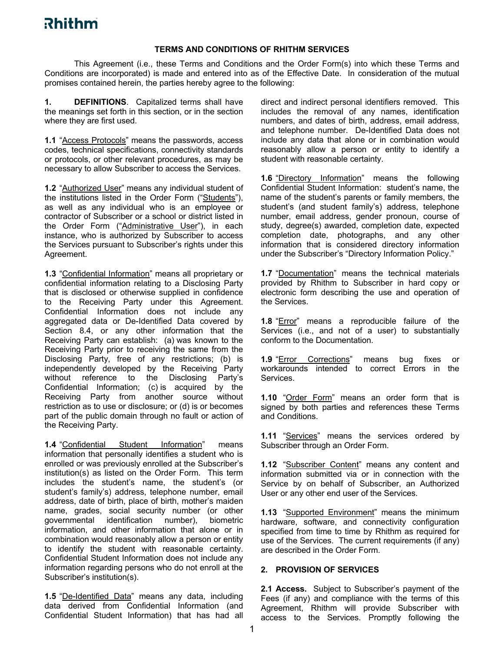### **TERMS AND CONDITIONS OF RHITHM SERVICES**

This Agreement (i.e., these Terms and Conditions and the Order Form(s) into which these Terms and Conditions are incorporated) is made and entered into as of the Effective Date. In consideration of the mutual promises contained herein, the parties hereby agree to the following:

**1. DEFINITIONS**. Capitalized terms shall have the meanings set forth in this section, or in the section where they are first used.

**1.1** "Access Protocols" means the passwords, access codes, technical specifications, connectivity standards or protocols, or other relevant procedures, as may be necessary to allow Subscriber to access the Services.

**1.2** "Authorized User" means any individual student of the institutions listed in the Order Form ("Students"), as well as any individual who is an employee or contractor of Subscriber or a school or district listed in the Order Form ("Administrative User"), in each instance, who is authorized by Subscriber to access the Services pursuant to Subscriber's rights under this Agreement.

**1.3** "Confidential Information" means all proprietary or confidential information relating to a Disclosing Party that is disclosed or otherwise supplied in confidence to the Receiving Party under this Agreement. Confidential Information does not include any aggregated data or De-Identified Data covered by Section 8.4, or any other information that the Receiving Party can establish: (a) was known to the Receiving Party prior to receiving the same from the Disclosing Party, free of any restrictions; (b) is independently developed by the Receiving Party without reference to the Disclosing Party's Confidential Information; (c) is acquired by the Receiving Party from another source without restriction as to use or disclosure; or (d) is or becomes part of the public domain through no fault or action of the Receiving Party.

**1.4** "Confidential Student Information" means information that personally identifies a student who is enrolled or was previously enrolled at the Subscriber's institution(s) as listed on the Order Form. This term includes the student's name, the student's (or student's family's) address, telephone number, email address, date of birth, place of birth, mother's maiden name, grades, social security number (or other governmental identification number), biometric information, and other information that alone or in combination would reasonably allow a person or entity to identify the student with reasonable certainty. Confidential Student Information does not include any information regarding persons who do not enroll at the Subscriber's institution(s).

**1.5** "De-Identified Data" means any data, including data derived from Confidential Information (and Confidential Student Information) that has had all

direct and indirect personal identifiers removed. This includes the removal of any names, identification numbers, and dates of birth, address, email address, and telephone number. De-Identified Data does not include any data that alone or in combination would reasonably allow a person or entity to identify a student with reasonable certainty.

1.6 "Directory Information" means the following Confidential Student Information: student's name, the name of the student's parents or family members, the student's (and student family's) address, telephone number, email address, gender pronoun, course of study, degree(s) awarded, completion date, expected completion date, photographs, and any other information that is considered directory information under the Subscriber's "Directory Information Policy."

**1.7** "Documentation" means the technical materials provided by Rhithm to Subscriber in hard copy or electronic form describing the use and operation of the Services.

**1.8** "Error" means a reproducible failure of the Services (i.e., and not of a user) to substantially conform to the Documentation.

1.9 "Error Corrections" means bug fixes or workarounds intended to correct Errors in the **Services** 

**1.10** "Order Form" means an order form that is signed by both parties and references these Terms and Conditions.

**1.11** "Services" means the services ordered by Subscriber through an Order Form.

1.12 "Subscriber Content" means any content and information submitted via or in connection with the Service by on behalf of Subscriber, an Authorized User or any other end user of the Services.

**1.13** "Supported Environment" means the minimum hardware, software, and connectivity configuration specified from time to time by Rhithm as required for use of the Services. The current requirements (if any) are described in the Order Form.

#### **2. PROVISION OF SERVICES**

**2.1 Access.** Subject to Subscriber's payment of the Fees (if any) and compliance with the terms of this Agreement, Rhithm will provide Subscriber with access to the Services. Promptly following the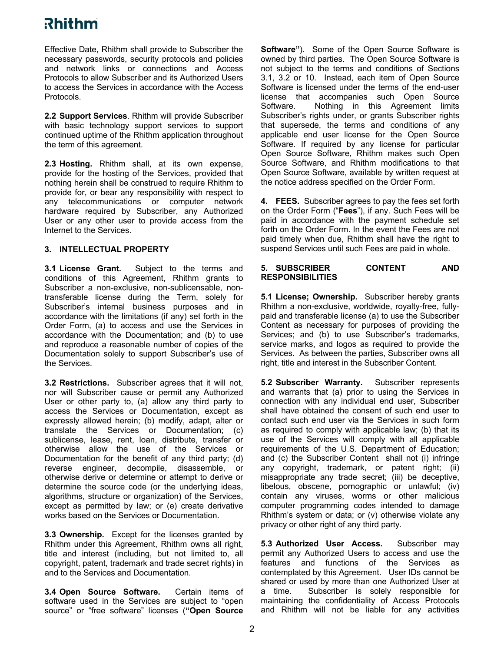Effective Date, Rhithm shall provide to Subscriber the necessary passwords, security protocols and policies and network links or connections and Access Protocols to allow Subscriber and its Authorized Users to access the Services in accordance with the Access Protocols.

**2.2 Support Services**. Rhithm will provide Subscriber with basic technology support services to support continued uptime of the Rhithm application throughout the term of this agreement.

**2.3 Hosting.** Rhithm shall, at its own expense, provide for the hosting of the Services, provided that nothing herein shall be construed to require Rhithm to provide for, or bear any responsibility with respect to any telecommunications or computer network hardware required by Subscriber, any Authorized User or any other user to provide access from the Internet to the Services.

### **3. INTELLECTUAL PROPERTY**

**3.1 License Grant.** Subject to the terms and conditions of this Agreement, Rhithm grants to Subscriber a non-exclusive, non-sublicensable, nontransferable license during the Term, solely for Subscriber's internal business purposes and in accordance with the limitations (if any) set forth in the Order Form, (a) to access and use the Services in accordance with the Documentation; and (b) to use and reproduce a reasonable number of copies of the Documentation solely to support Subscriber's use of the Services.

**3.2 Restrictions.** Subscriber agrees that it will not, nor will Subscriber cause or permit any Authorized User or other party to, (a) allow any third party to access the Services or Documentation, except as expressly allowed herein; (b) modify, adapt, alter or translate the Services or Documentation; (c) sublicense, lease, rent, loan, distribute, transfer or otherwise allow the use of the Services or Documentation for the benefit of any third party; (d) reverse engineer, decompile, disassemble, or otherwise derive or determine or attempt to derive or determine the source code (or the underlying ideas, algorithms, structure or organization) of the Services, except as permitted by law; or (e) create derivative works based on the Services or Documentation.

**3.3 Ownership.** Except for the licenses granted by Rhithm under this Agreement, Rhithm owns all right, title and interest (including, but not limited to, all copyright, patent, trademark and trade secret rights) in and to the Services and Documentation.

**3.4 Open Source Software.** Certain items of software used in the Services are subject to "open source" or "free software" licenses (**"Open Source** 

**Software"**). Some of the Open Source Software is owned by third parties. The Open Source Software is not subject to the terms and conditions of Sections 3.1, 3.2 or 10. Instead, each item of Open Source Software is licensed under the terms of the end-user license that accompanies such Open Source Software. Nothing in this Agreement limits Subscriber's rights under, or grants Subscriber rights that supersede, the terms and conditions of any applicable end user license for the Open Source Software. If required by any license for particular Open Source Software, Rhithm makes such Open Source Software, and Rhithm modifications to that Open Source Software, available by written request at the notice address specified on the Order Form.

**4. FEES.** Subscriber agrees to pay the fees set forth on the Order Form ("**Fees**"), if any. Such Fees will be paid in accordance with the payment schedule set forth on the Order Form. In the event the Fees are not paid timely when due, Rhithm shall have the right to suspend Services until such Fees are paid in whole.

#### **5. SUBSCRIBER CONTENT AND RESPONSIBILITIES**

**5.1 License; Ownership.** Subscriber hereby grants Rhithm a non-exclusive, worldwide, royalty-free, fullypaid and transferable license (a) to use the Subscriber Content as necessary for purposes of providing the Services; and (b) to use Subscriber's trademarks, service marks, and logos as required to provide the Services. As between the parties, Subscriber owns all right, title and interest in the Subscriber Content.

**5.2 Subscriber Warranty.** Subscriber represents and warrants that (a) prior to using the Services in connection with any individual end user, Subscriber shall have obtained the consent of such end user to contact such end user via the Services in such form as required to comply with applicable law; (b) that its use of the Services will comply with all applicable requirements of the U.S. Department of Education; and (c) the Subscriber Content shall not (i) infringe any copyright, trademark, or patent right; (ii) misappropriate any trade secret; (iii) be deceptive, libelous, obscene, pornographic or unlawful; (iv) contain any viruses, worms or other malicious computer programming codes intended to damage Rhithm's system or data; or (v) otherwise violate any privacy or other right of any third party.

**5.3 Authorized User Access.** Subscriber may permit any Authorized Users to access and use the features and functions of the Services as contemplated by this Agreement. User IDs cannot be shared or used by more than one Authorized User at a time. Subscriber is solely responsible for maintaining the confidentiality of Access Protocols and Rhithm will not be liable for any activities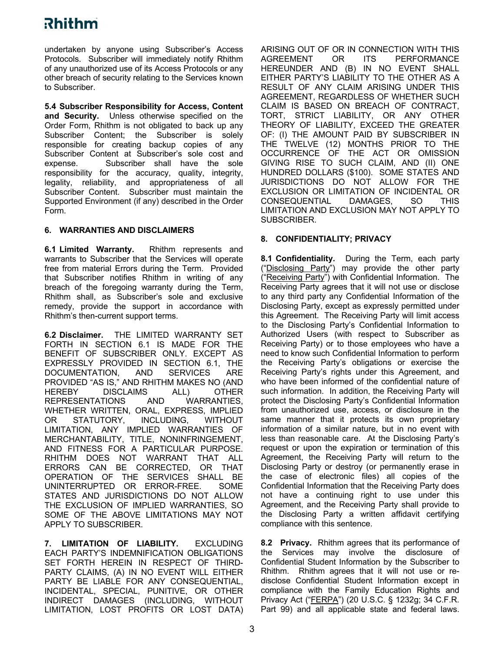# <u>Rhithm</u>

undertaken by anyone using Subscriber's Access Protocols. Subscriber will immediately notify Rhithm of any unauthorized use of its Access Protocols or any other breach of security relating to the Services known to Subscriber.

**5.4 Subscriber Responsibility for Access, Content and Security.** Unless otherwise specified on the Order Form, Rhithm is not obligated to back up any Subscriber Content; the Subscriber is solely responsible for creating backup copies of any Subscriber Content at Subscriber's sole cost and expense. Subscriber shall have the sole responsibility for the accuracy, quality, integrity, legality, reliability, and appropriateness of all Subscriber Content. Subscriber must maintain the Supported Environment (if any) described in the Order Form.

### **6. WARRANTIES AND DISCLAIMERS**

**6.1 Limited Warranty.** Rhithm represents and warrants to Subscriber that the Services will operate free from material Errors during the Term. Provided that Subscriber notifies Rhithm in writing of any breach of the foregoing warranty during the Term, Rhithm shall, as Subscriber's sole and exclusive remedy, provide the support in accordance with Rhithm's then-current support terms.

**6.2 Disclaimer.** THE LIMITED WARRANTY SET FORTH IN SECTION 6.1 IS MADE FOR THE BENEFIT OF SUBSCRIBER ONLY. EXCEPT AS EXPRESSLY PROVIDED IN SECTION 6.1, THE DOCUMENTATION, AND SERVICES ARE PROVIDED "AS IS," AND RHITHM MAKES NO (AND HEREBY DISCLAIMS ALL) OTHER REPRESENTATIONS AND WARRANTIES, WHETHER WRITTEN, ORAL, EXPRESS, IMPLIED OR STATUTORY, INCLUDING, WITHOUT LIMITATION, ANY IMPLIED WARRANTIES OF MERCHANTABILITY, TITLE, NONINFRINGEMENT, AND FITNESS FOR A PARTICULAR PURPOSE. RHITHM DOES NOT WARRANT THAT ALL ERRORS CAN BE CORRECTED, OR THAT OPERATION OF THE SERVICES SHALL BE UNINTERRUPTED OR ERROR-FREE. SOME STATES AND JURISDICTIONS DO NOT ALLOW THE EXCLUSION OF IMPLIED WARRANTIES, SO SOME OF THE ABOVE LIMITATIONS MAY NOT APPLY TO SUBSCRIBER.

**7. LIMITATION OF LIABILITY.** EXCLUDING EACH PARTY'S INDEMNIFICATION OBLIGATIONS SET FORTH HEREIN IN RESPECT OF THIRD-PARTY CLAIMS, (A) IN NO EVENT WILL EITHER PARTY BE LIABLE FOR ANY CONSEQUENTIAL, INCIDENTAL, SPECIAL, PUNITIVE, OR OTHER INDIRECT DAMAGES (INCLUDING, WITHOUT LIMITATION, LOST PROFITS OR LOST DATA) ARISING OUT OF OR IN CONNECTION WITH THIS AGREEMENT OR ITS PERFORMANCE HEREUNDER AND (B) IN NO EVENT SHALL EITHER PARTY'S LIABILITY TO THE OTHER AS A RESULT OF ANY CLAIM ARISING UNDER THIS AGREEMENT, REGARDLESS OF WHETHER SUCH CLAIM IS BASED ON BREACH OF CONTRACT, TORT, STRICT LIABILITY, OR ANY OTHER THEORY OF LIABILITY, EXCEED THE GREATER OF: (I) THE AMOUNT PAID BY SUBSCRIBER IN THE TWELVE (12) MONTHS PRIOR TO THE OCCURRENCE OF THE ACT OR OMISSION GIVING RISE TO SUCH CLAIM, AND (II) ONE HUNDRED DOLLARS (\$100). SOME STATES AND JURISDICTIONS DO NOT ALLOW FOR THE EXCLUSION OR LIMITATION OF INCIDENTAL OR CONSEQUENTIAL DAMAGES, SO THIS LIMITATION AND EXCLUSION MAY NOT APPLY TO SUBSCRIBER.

### **8. CONFIDENTIALITY; PRIVACY**

**8.1 Confidentiality.** During the Term, each party ("Disclosing Party") may provide the other party ("Receiving Party") with Confidential Information. The Receiving Party agrees that it will not use or disclose to any third party any Confidential Information of the Disclosing Party, except as expressly permitted under this Agreement. The Receiving Party will limit access to the Disclosing Party's Confidential Information to Authorized Users (with respect to Subscriber as Receiving Party) or to those employees who have a need to know such Confidential Information to perform the Receiving Party's obligations or exercise the Receiving Party's rights under this Agreement, and who have been informed of the confidential nature of such information. In addition, the Receiving Party will protect the Disclosing Party's Confidential Information from unauthorized use, access, or disclosure in the same manner that it protects its own proprietary information of a similar nature, but in no event with less than reasonable care. At the Disclosing Party's request or upon the expiration or termination of this Agreement, the Receiving Party will return to the Disclosing Party or destroy (or permanently erase in the case of electronic files) all copies of the Confidential Information that the Receiving Party does not have a continuing right to use under this Agreement, and the Receiving Party shall provide to the Disclosing Party a written affidavit certifying compliance with this sentence.

**8.2 Privacy.** Rhithm agrees that its performance of the Services may involve the disclosure of Confidential Student Information by the Subscriber to Rhithm. Rhithm agrees that it will not use or redisclose Confidential Student Information except in compliance with the Family Education Rights and Privacy Act ("FERPA") (20 U.S.C. § 1232g; 34 C.F.R. Part 99) and all applicable state and federal laws.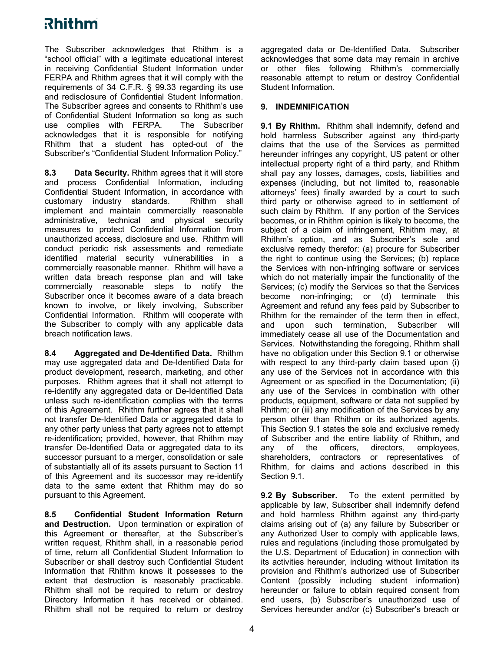# <u>Rhithm</u>

The Subscriber acknowledges that Rhithm is a "school official" with a legitimate educational interest in receiving Confidential Student Information under FERPA and Rhithm agrees that it will comply with the requirements of 34 C.F.R. § 99.33 regarding its use and redisclosure of Confidential Student Information. The Subscriber agrees and consents to Rhithm's use of Confidential Student Information so long as such use complies with FERPA. The Subscriber acknowledges that it is responsible for notifying Rhithm that a student has opted-out of the Subscriber's "Confidential Student Information Policy."

**8.3 Data Security.** Rhithm agrees that it will store and process Confidential Information, including Confidential Student Information, in accordance with customary industry standards. Rhithm shall implement and maintain commercially reasonable administrative, technical and physical security measures to protect Confidential Information from unauthorized access, disclosure and use. Rhithm will conduct periodic risk assessments and remediate identified material security vulnerabilities in a commercially reasonable manner. Rhithm will have a written data breach response plan and will take commercially reasonable steps to notify the Subscriber once it becomes aware of a data breach known to involve, or likely involving, Subscriber Confidential Information. Rhithm will cooperate with the Subscriber to comply with any applicable data breach notification laws.

**8.4 Aggregated and De-Identified Data.** Rhithm may use aggregated data and De-Identified Data for product development, research, marketing, and other purposes. Rhithm agrees that it shall not attempt to re-identify any aggregated data or De-Identified Data unless such re-identification complies with the terms of this Agreement. Rhithm further agrees that it shall not transfer De-Identified Data or aggregated data to any other party unless that party agrees not to attempt re-identification; provided, however, that Rhithm may transfer De-Identified Data or aggregated data to its successor pursuant to a merger, consolidation or sale of substantially all of its assets pursuant to Section 11 of this Agreement and its successor may re-identify data to the same extent that Rhithm may do so pursuant to this Agreement.

**8.5 Confidential Student Information Return and Destruction.** Upon termination or expiration of this Agreement or thereafter, at the Subscriber's written request, Rhithm shall, in a reasonable period of time, return all Confidential Student Information to Subscriber or shall destroy such Confidential Student Information that Rhithm knows it possesses to the extent that destruction is reasonably practicable. Rhithm shall not be required to return or destroy Directory Information it has received or obtained. Rhithm shall not be required to return or destroy

aggregated data or De-Identified Data. Subscriber acknowledges that some data may remain in archive or other files following Rhithm's commercially reasonable attempt to return or destroy Confidential Student Information.

#### **9. INDEMNIFICATION**

**9.1 By Rhithm.** Rhithm shall indemnify, defend and hold harmless Subscriber against any third-party claims that the use of the Services as permitted hereunder infringes any copyright, US patent or other intellectual property right of a third party, and Rhithm shall pay any losses, damages, costs, liabilities and expenses (including, but not limited to, reasonable attorneys' fees) finally awarded by a court to such third party or otherwise agreed to in settlement of such claim by Rhithm. If any portion of the Services becomes, or in Rhithm opinion is likely to become, the subject of a claim of infringement, Rhithm may, at Rhithm's option, and as Subscriber's sole and exclusive remedy therefor: (a) procure for Subscriber the right to continue using the Services; (b) replace the Services with non-infringing software or services which do not materially impair the functionality of the Services; (c) modify the Services so that the Services become non-infringing; or (d) terminate this Agreement and refund any fees paid by Subscriber to Rhithm for the remainder of the term then in effect, and upon such termination, Subscriber will immediately cease all use of the Documentation and Services. Notwithstanding the foregoing, Rhithm shall have no obligation under this Section 9.1 or otherwise with respect to any third-party claim based upon (i) any use of the Services not in accordance with this Agreement or as specified in the Documentation; (ii) any use of the Services in combination with other products, equipment, software or data not supplied by Rhithm; or (iii) any modification of the Services by any person other than Rhithm or its authorized agents. This Section 9.1 states the sole and exclusive remedy of Subscriber and the entire liability of Rhithm, and any of the officers, directors, employees, shareholders, contractors or representatives of Rhithm, for claims and actions described in this Section 9.1.

**9.2 By Subscriber.** To the extent permitted by applicable by law, Subscriber shall indemnify defend and hold harmless Rhithm against any third-party claims arising out of (a) any failure by Subscriber or any Authorized User to comply with applicable laws, rules and regulations (including those promulgated by the U.S. Department of Education) in connection with its activities hereunder, including without limitation its provision and Rhithm's authorized use of Subscriber Content (possibly including student information) hereunder or failure to obtain required consent from end users, (b) Subscriber's unauthorized use of Services hereunder and/or (c) Subscriber's breach or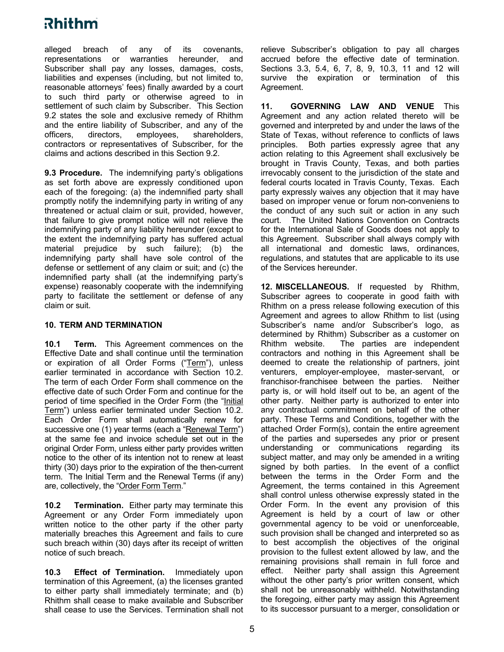## <u>Rhithm</u>

alleged breach of any of its covenants, representations or warranties hereunder, and Subscriber shall pay any losses, damages, costs, liabilities and expenses (including, but not limited to, reasonable attorneys' fees) finally awarded by a court to such third party or otherwise agreed to in settlement of such claim by Subscriber. This Section 9.2 states the sole and exclusive remedy of Rhithm and the entire liability of Subscriber, and any of the officers, directors, employees, shareholders, contractors or representatives of Subscriber, for the claims and actions described in this Section 9.2.

**9.3 Procedure.** The indemnifying party's obligations as set forth above are expressly conditioned upon each of the foregoing: (a) the indemnified party shall promptly notify the indemnifying party in writing of any threatened or actual claim or suit, provided, however, that failure to give prompt notice will not relieve the indemnifying party of any liability hereunder (except to the extent the indemnifying party has suffered actual material prejudice by such failure); (b) the indemnifying party shall have sole control of the defense or settlement of any claim or suit; and (c) the indemnified party shall (at the indemnifying party's expense) reasonably cooperate with the indemnifying party to facilitate the settlement or defense of any claim or suit.

#### **10. TERM AND TERMINATION**

**10.1 Term.** This Agreement commences on the Effective Date and shall continue until the termination or expiration of all Order Forms ("Term"), unless earlier terminated in accordance with Section 10.2. The term of each Order Form shall commence on the effective date of such Order Form and continue for the period of time specified in the Order Form (the "Initial Term") unless earlier terminated under Section 10.2. Each Order Form shall automatically renew for successive one (1) year terms (each a "Renewal Term") at the same fee and invoice schedule set out in the original Order Form, unless either party provides written notice to the other of its intention not to renew at least thirty (30) days prior to the expiration of the then-current term. The Initial Term and the Renewal Terms (if any) are, collectively, the "Order Form Term."

**10.2 Termination.** Either party may terminate this Agreement or any Order Form immediately upon written notice to the other party if the other party materially breaches this Agreement and fails to cure such breach within (30) days after its receipt of written notice of such breach.

**10.3 Effect of Termination.** Immediately upon termination of this Agreement, (a) the licenses granted to either party shall immediately terminate; and (b) Rhithm shall cease to make available and Subscriber shall cease to use the Services. Termination shall not relieve Subscriber's obligation to pay all charges accrued before the effective date of termination. Sections 3.3, 5.4, 6, 7, 8, 9, 10.3, 11 and 12 will survive the expiration or termination of this Agreement.

**11. GOVERNING LAW AND VENUE** This Agreement and any action related thereto will be governed and interpreted by and under the laws of the State of Texas, without reference to conflicts of laws principles. Both parties expressly agree that any action relating to this Agreement shall exclusively be brought in Travis County, Texas, and both parties irrevocably consent to the jurisdiction of the state and federal courts located in Travis County, Texas. Each party expressly waives any objection that it may have based on improper venue or forum non-conveniens to the conduct of any such suit or action in any such court. The United Nations Convention on Contracts for the International Sale of Goods does not apply to this Agreement. Subscriber shall always comply with all international and domestic laws, ordinances, regulations, and statutes that are applicable to its use of the Services hereunder.

**12. MISCELLANEOUS.** If requested by Rhithm, Subscriber agrees to cooperate in good faith with Rhithm on a press release following execution of this Agreement and agrees to allow Rhithm to list (using Subscriber's name and/or Subscriber's logo, as determined by Rhithm) Subscriber as a customer on Rhithm website. The parties are independent contractors and nothing in this Agreement shall be deemed to create the relationship of partners, joint venturers, employer-employee, master-servant, or franchisor-franchisee between the parties. Neither party is, or will hold itself out to be, an agent of the other party. Neither party is authorized to enter into any contractual commitment on behalf of the other party. These Terms and Conditions, together with the attached Order Form(s), contain the entire agreement of the parties and supersedes any prior or present understanding or communications regarding its subject matter, and may only be amended in a writing signed by both parties. In the event of a conflict between the terms in the Order Form and the Agreement, the terms contained in this Agreement shall control unless otherwise expressly stated in the Order Form. In the event any provision of this Agreement is held by a court of law or other governmental agency to be void or unenforceable, such provision shall be changed and interpreted so as to best accomplish the objectives of the original provision to the fullest extent allowed by law, and the remaining provisions shall remain in full force and effect. Neither party shall assign this Agreement without the other party's prior written consent, which shall not be unreasonably withheld. Notwithstanding the foregoing, either party may assign this Agreement to its successor pursuant to a merger, consolidation or